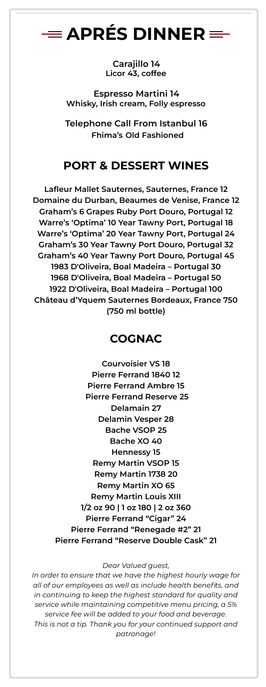# $\equiv$  APRÉS DINNER  $\equiv$

**Carajillo 14 Licor 43, coffee**

**Espresso Martini 14 Whisky, Irish cream, Folly espresso**

**Telephone Call From Istanbul 16 Fhima's Old Fashioned**

## **PORT & DESSERT WINES**

**Lafleur Mallet Sauternes, Sauternes, France 12 Domaine du Durban, Beaumes de Venise, France 12 Graham's 6 Grapes Ruby Port Douro, Portugal 12 Warre's 'Optima' 10 Year Tawny Port, Portugal 18 Warre's 'Optima' 20 Year Tawny Port, Portugal 24 Graham's 30 Year Tawny Port Douro, Portugal 32 Graham's 40 Year Tawny Port Douro, Portugal 45 1983 D'Oliveira, Boal Madeira – Portugal 30 1968 D'Oliveira, Boal Madeira – Portugal 50 1922 D'Oliveira, Boal Madeira – Portugal 100 Château d'Yquem Sauternes Bordeaux, France 750 (750 ml bottle)**

## **COGNAC**

**Courvoisier VS 18 Pierre Ferrand 1840 12 Pierre Ferrand Ambre 15 Pierre Ferrand Reserve 25 Delamain 27 Delamin Vesper 28 Bache VSOP 25 Bache XO 40 Hennessy 15 Remy Martin VSOP 15 Remy Martin 1738 20 Remy Martin XO 65 Remy Martin Louis XIII 1/2 oz 90 | 1 oz 180 | 2 oz 360 Pierre Ferrand "Cigar" 24 Pierre Ferrand "Renegade #2" 21 Pierre Ferrand "Reserve Double Cask" 21**

#### *Dear Valued guest,*

*In order to ensure that we have the highest hourly wage for all of our employees as well as include health benefits, and in continuing to keep the highest standard for quality and service while maintaining competitive menu pricing, a 5% service fee will be added to your food and beverage. This is not a tip. Thank you for your continued support and patronage!*